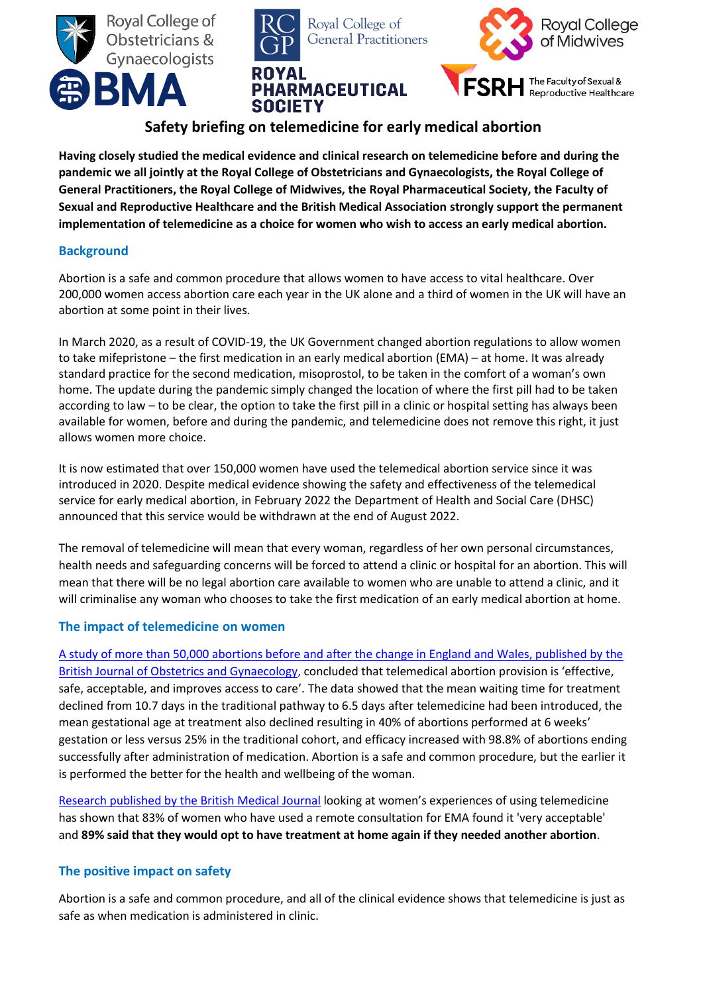





# **Safety briefing on telemedicine for early medical abortion**

**Having closely studied the medical evidence and clinical research on telemedicine before and during the pandemic we all jointly at the Royal College of Obstetricians and Gynaecologists, the Royal College of General Practitioners, the Royal College of Midwives, the Royal Pharmaceutical Society, the Faculty of Sexual and Reproductive Healthcare and the British Medical Association strongly support the permanent implementation of telemedicine as a choice for women who wish to access an early medical abortion.**

## **Background**

Abortion is a safe and common procedure that allows women to have access to vital healthcare. Over 200,000 women access abortion care each year in the UK alone and a third of women in the UK will have an abortion at some point in their lives.

In March 2020, as a result of COVID-19, the UK Government changed abortion regulations to allow women to take mifepristone – the first medication in an early medical abortion (EMA) – at home. It was already standard practice for the second medication, misoprostol, to be taken in the comfort of a woman's own home. The update during the pandemic simply changed the location of where the first pill had to be taken according to law – to be clear, the option to take the first pill in a clinic or hospital setting has always been available for women, before and during the pandemic, and telemedicine does not remove this right, it just allows women more choice.

It is now estimated that over 150,000 women have used the telemedical abortion service since it was introduced in 2020. Despite medical evidence showing the safety and effectiveness of the telemedical service for early medical abortion, in February 2022 the Department of Health and Social Care (DHSC) announced that this service would be withdrawn at the end of August 2022.

The removal of telemedicine will mean that every woman, regardless of her own personal circumstances, health needs and safeguarding concerns will be forced to attend a clinic or hospital for an abortion. This will mean that there will be no legal abortion care available to women who are unable to attend a clinic, and it will criminalise any woman who chooses to take the first medication of an early medical abortion at home.

## **The impact of telemedicine on women**

[A study of more than 50,000 abortions before and after the change in England and Wales, published by the](https://obgyn.onlinelibrary.wiley.com/doi/10.1111/1471-0528.16668)  [British Journal of Obstetrics and Gynaecology,](https://obgyn.onlinelibrary.wiley.com/doi/10.1111/1471-0528.16668) concluded that telemedical abortion provision is 'effective, safe, acceptable, and improves access to care'. The data showed that the mean waiting time for treatment declined from 10.7 days in the traditional pathway to 6.5 days after telemedicine had been introduced, the mean gestational age at treatment also declined resulting in 40% of abortions performed at 6 weeks' gestation or less versus 25% in the traditional cohort, and efficacy increased with 98.8% of abortions ending successfully after administration of medication. Abortion is a safe and common procedure, but the earlier it is performed the better for the health and wellbeing of the woman.

[Research published by the British Medical Journal](https://srh.bmj.com/content/47/4/246?ijkey=837aa64aa68313f8e8769fc89ef92c0f0a38f239&keytype2=tf_ipsecsha) looking at women's experiences of using telemedicine has shown that 83% of women who have used a remote consultation for EMA found it 'very acceptable' and **89% said that they would opt to have treatment at home again if they needed another abortion**.

## **The positive impact on safety**

Abortion is a safe and common procedure, and all of the clinical evidence shows that telemedicine is just as safe as when medication is administered in clinic.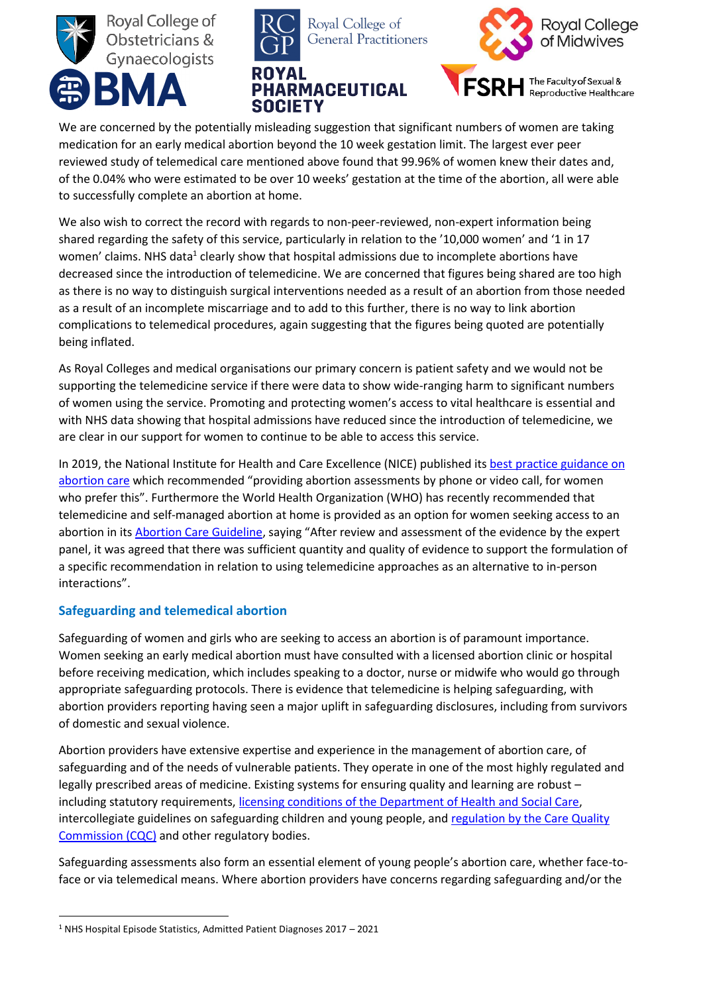





We are concerned by the potentially misleading suggestion that significant numbers of women are taking medication for an early medical abortion beyond the 10 week gestation limit. The largest ever peer reviewed study of telemedical care mentioned above found that 99.96% of women knew their dates and, of the 0.04% who were estimated to be over 10 weeks' gestation at the time of the abortion, all were able to successfully complete an abortion at home.

We also wish to correct the record with regards to non-peer-reviewed, non-expert information being shared regarding the safety of this service, particularly in relation to the '10,000 women' and '1 in 17 women' claims. NHS data<sup>1</sup> clearly show that hospital admissions due to incomplete abortions have decreased since the introduction of telemedicine. We are concerned that figures being shared are too high as there is no way to distinguish surgical interventions needed as a result of an abortion from those needed as a result of an incomplete miscarriage and to add to this further, there is no way to link abortion complications to telemedical procedures, again suggesting that the figures being quoted are potentially being inflated.

As Royal Colleges and medical organisations our primary concern is patient safety and we would not be supporting the telemedicine service if there were data to show wide-ranging harm to significant numbers of women using the service. Promoting and protecting women's access to vital healthcare is essential and with NHS data showing that hospital admissions have reduced since the introduction of telemedicine, we are clear in our support for women to continue to be able to access this service.

In 2019, the National Institute for Health and Care Excellence (NICE) published it[s best practice guidance on](https://www.nice.org.uk/guidance/ng140)  [abortion care](https://www.nice.org.uk/guidance/ng140) which recommended "providing abortion assessments by phone or video call, for women who prefer this". Furthermore the World Health Organization (WHO) has recently recommended that telemedicine and self-managed abortion at home is provided as an option for women seeking access to an abortion in it[s Abortion Care Guideline](https://www.who.int/publications/i/item/9789240039483), saying "After review and assessment of the evidence by the expert panel, it was agreed that there was sufficient quantity and quality of evidence to support the formulation of a specific recommendation in relation to using telemedicine approaches as an alternative to in-person interactions".

## **Safeguarding and telemedical abortion**

Safeguarding of women and girls who are seeking to access an abortion is of paramount importance. Women seeking an early medical abortion must have consulted with a licensed abortion clinic or hospital before receiving medication, which includes speaking to a doctor, nurse or midwife who would go through appropriate safeguarding protocols. There is evidence that telemedicine is helping safeguarding, with abortion providers reporting having seen a major uplift in safeguarding disclosures, including from survivors of domestic and sexual violence.

Abortion providers have extensive expertise and experience in the management of abortion care, of safeguarding and of the needs of vulnerable patients. They operate in one of the most highly regulated and legally prescribed areas of medicine. Existing systems for ensuring quality and learning are robust – including statutory requirements, [licensing conditions of the Department of Health and Social Care,](https://assets.publishing.service.gov.uk/government/uploads/system/uploads/attachment_data/file/874241/Procedures_for_approval_of_independent_sector_places_for_abortion.pdf) intercollegiate guidelines on safeguarding children and young people, and regulation by the Care Quality [Commission \(CQC\)](https://www.cqc.org.uk/sites/default/files/20160713_independent_acute_core_service_inspection_framework_termination_of_pregnancy.pdf) and other regulatory bodies.

Safeguarding assessments also form an essential element of young people's abortion care, whether face-toface or via telemedical means. Where abortion providers have concerns regarding safeguarding and/or the

 $\overline{a}$ <sup>1</sup> NHS Hospital Episode Statistics, Admitted Patient Diagnoses 2017 – 2021